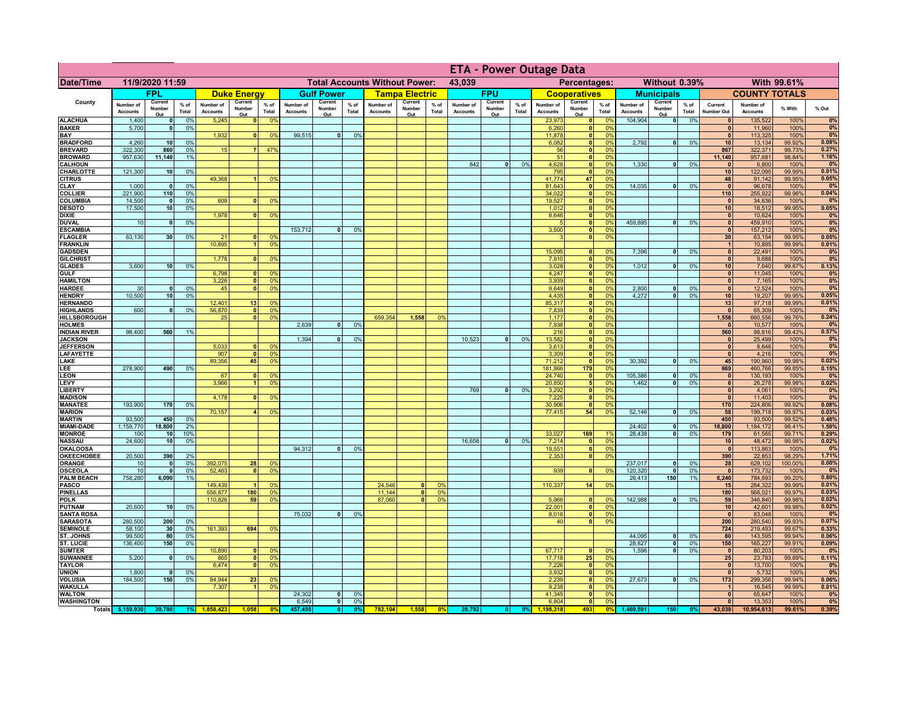|                                      |                              |                                    |                 |                              |                          |                                      | <b>ETA - Power Outage Data</b> |                          |                |                              |                          |                                  |                              |                          |                              |                              |                                  |                      |                              |                              |                 |                              |                              |                  |                |
|--------------------------------------|------------------------------|------------------------------------|-----------------|------------------------------|--------------------------|--------------------------------------|--------------------------------|--------------------------|----------------|------------------------------|--------------------------|----------------------------------|------------------------------|--------------------------|------------------------------|------------------------------|----------------------------------|----------------------|------------------------------|------------------------------|-----------------|------------------------------|------------------------------|------------------|----------------|
| <b>Date/Time</b>                     | 11/9/2020 11:59              |                                    |                 |                              |                          | <b>Total Accounts Without Power:</b> |                                |                          |                | 43,039                       | Percentages:             |                                  |                              |                          | Without 0.39%<br>With 99.61% |                              |                                  |                      |                              |                              |                 |                              |                              |                  |                |
|                                      |                              | <b>FPL</b>                         |                 |                              | <b>Duke Energy</b>       |                                      |                                | <b>Gulf Power</b>        |                |                              | <b>Tampa Electric</b>    |                                  |                              | <b>FPU</b>               |                              |                              | <b>Cooperatives</b>              |                      |                              | <b>Municipals</b>            |                 |                              | <b>COUNTY TOTALS</b>         |                  |                |
| County                               | Number of<br><b>Accounts</b> | Current<br>Number<br>Out           | $%$ of<br>Total | Number of<br><b>Accounts</b> | Current<br>Number<br>Out | $%$ of<br>Total                      | Number of<br><b>Accounts</b>   | Current<br>Number<br>Out | % of<br>Total  | Number of<br><b>Accounts</b> | Current<br>Number<br>Out | % of<br>Total                    | Number of<br><b>Accounts</b> | Current<br>Number<br>Out | % of<br>Total                | Number of<br><b>Accounts</b> | Current<br>Number<br>Out         | $%$ of<br>Total      | Number of<br><b>Accounts</b> | Current<br>Number<br>Out     | $%$ of<br>Total | Current<br><b>Number Out</b> | Number of<br><b>Accounts</b> | % With           | % Out          |
| <b>ALACHUA</b>                       | 1,400                        | $\mathbf{0}$                       | 0%              | 5,245                        | $\Omega$                 | 0 <sup>9</sup>                       |                                |                          |                |                              |                          |                                  |                              |                          |                              | 23,973                       | 0                                | 0 <sup>9</sup>       | 104,904                      | $\bullet$                    | 0%              | $\mathbf{0}$                 | 135,522                      | 100%             | 0%<br>0%       |
| <b>BAKER</b><br>BAY                  | 5,700                        | 0                                  | 0%              | 1,932                        | $\mathbf{0}$             | 0 <sup>9</sup>                       | 99,515                         | $\overline{\mathbf{0}}$  | 0%             |                              |                          |                                  |                              |                          |                              | 6,260<br>11,878              | 0 <br> 0                         | 0%<br>0%             |                              |                              |                 | $\mathbf{0}$<br>$\mathbf{0}$ | 11,960<br>113,325            | 100%<br>100%     | 0%             |
| <b>BRADFORD</b>                      | 4,260                        | 10                                 | 0%              |                              |                          |                                      |                                |                          |                |                              |                          |                                  |                              |                          |                              | 6,082                        | 0                                | 0%                   | 2,792                        | 0                            | 0%              | 10                           | 13,134                       | 99.92%           | 0.08%          |
| <b>BREVARD</b><br><b>BROWARD</b>     | 322,300<br>957,630           | 860<br>11,140                      | 0%<br>1%        | 15                           |                          | 47%                                  |                                |                          |                |                              |                          |                                  |                              |                          |                              | 56                           | 0                                | 0 <br>0%<br>0%       |                              |                              |                 | 867<br>11,140                | 322,371                      | 99.73%<br>98.84% | 0.27%<br>1.16% |
| <b>CALHOUN</b>                       |                              |                                    |                 |                              |                          |                                      |                                |                          |                |                              |                          |                                  | 842                          | $\mathbf{0}$             | 0%                           | 51<br>4,628                  | 0                                | 0%                   | 1,330                        | $\mathbf{0}$                 | 0%              | $\mathbf{0}$                 | 957,681<br>6,800             | 100%             | 0%             |
| CHARLOTTE                            | 121,300                      | 10                                 | 0%              |                              |                          |                                      |                                |                          |                |                              |                          |                                  |                              |                          |                              | 795                          | 0                                | 0%                   |                              |                              |                 | 10                           | 122,095                      | 99.99%           | 0.01%          |
| <b>CITRUS</b><br><b>CLAY</b>         | 1,000                        | $\mathbf{0}$                       | 0%              | 49,368                       |                          | 0 <sup>9</sup>                       |                                |                          |                |                              |                          |                                  |                              |                          |                              | 41,774<br>81,643             | 47<br> 0                         | 0%<br>0 <sup>9</sup> | 14,035                       | $\mathbf{0}$                 | 0%              | 48<br>$\mathbf{0}$           | 91,142<br>96,678             | 99.95%<br>100%   | 0.05%<br>0%    |
| <b>COLLIER</b>                       | 221,900                      | 110                                | 0 <sup>9</sup>  |                              |                          |                                      |                                |                          |                |                              |                          |                                  |                              |                          |                              | 34,022                       | 0                                | 0%                   |                              |                              |                 | 110                          | 255,922                      | 99.96%           | 0.04%          |
| <b>COLUMBIA</b>                      | 14,500                       | $\mathbf{0}$                       | 0%              | 609                          |                          | 0%                                   |                                |                          |                |                              |                          |                                  |                              |                          |                              | 19,527                       | 0                                | 0%                   |                              |                              |                 | $\mathbf{0}$                 | 34,636                       | 100%             | 0%             |
| <b>DESOTO</b><br><b>DIXIE</b>        | 17,500                       | 10                                 | 0%              | 1,978                        |                          | 0 <sup>9</sup>                       |                                |                          |                |                              |                          |                                  |                              |                          |                              | 1,012<br>8,646               | 0 <br> 0                         | 0%<br>0%             |                              |                              |                 | 10<br>$\mathbf{0}$           | 18,512<br>10,624             | 99.95%<br>100%   | 0.05%<br>0%    |
| <b>DUVAL</b>                         | 10                           | $\mathbf{0}$                       | 0%              |                              |                          |                                      |                                |                          |                |                              |                          |                                  |                              |                          |                              |                              | 0                                | 0%                   | 459,895                      | $\mathbf{0}$                 | 0%              | $\mathbf{0}$                 | 459,910                      | 100%             | 0%             |
| <b>ESCAMBIA</b>                      |                              |                                    |                 |                              |                          |                                      | 153,712                        | $\Omega$                 | 0 <sup>9</sup> |                              |                          |                                  |                              |                          |                              | 3,500                        | 0                                | 0%                   |                              |                              |                 | $\mathbf{0}$                 | 157,212                      | 100%             | 0%             |
| <b>FLAGLER</b><br><b>FRANKLIN</b>    | 63,130                       | 30                                 | 0%              | 21<br>10,895                 |                          | 0 <sup>9</sup><br>0 <sup>9</sup>     |                                |                          |                |                              |                          |                                  |                              |                          |                              | 3                            | $\overline{\mathbf{0}}$          | 0%                   |                              |                              |                 | 30<br>$\overline{1}$         | 63,154<br>10,895             | 99.95%<br>99.99% | 0.05%<br>0.01% |
| <b>GADSDEN</b>                       |                              |                                    |                 |                              |                          |                                      |                                |                          |                |                              |                          |                                  |                              |                          |                              | 15.095                       | 0                                | 0%                   | 7.396                        | 0                            | 0%              | 0                            | 22,491                       | 100%             | 0%             |
| <b>GILCHRIST</b>                     | 3,600                        |                                    | 0%              | 1.778                        | $\mathbf{0}$             | 0 <sup>9</sup>                       |                                |                          |                |                              |                          |                                  |                              |                          |                              | 7,910                        | $\overline{\mathbf{0}}$          | 0%<br>0%             |                              |                              |                 | $\Omega$                     | 9,688                        | 100%             | 0%             |
| <b>GLADES</b><br><b>GULF</b>         |                              | 10                                 |                 | 6,798                        | $\mathbf{0}$             | 0%                                   |                                |                          |                |                              |                          |                                  |                              |                          |                              | 3,028<br>4,247               | 0 <br> 0                         | 0%                   | 1,012                        | $\bullet$                    | 0%              | 10<br>$\mathbf{0}$           | 7,640<br>11,045              | 99.87%<br>100%   | 0.13%<br>0%    |
| <b>HAMILTON</b>                      |                              |                                    |                 | 3,226                        | 0                        | 0 <sup>9</sup>                       |                                |                          |                |                              |                          |                                  |                              |                          |                              | 3,939                        | 0                                | 0%                   |                              |                              |                 | $\mathbf{0}$                 | 7,165                        | 100%             | 0%             |
| <b>HARDEE</b>                        | 30<br>10.500                 | $\Omega$                           | 0%              | 45                           | $\Omega$                 | 0%                                   |                                |                          |                |                              |                          |                                  |                              |                          |                              | 9,649                        | 0                                | 0%                   | 2,800<br>4.272               | $\mathbf{0}$<br>$\bullet$    | 0%<br>0%        | $\mathbf{0}$                 | 12,524                       | 100%             | 0%<br>0.05%    |
| <b>HENDRY</b><br><b>HERNANDO</b>     |                              | 10                                 | 0%              | 12,401                       | 13                       | 0 <sup>9</sup>                       |                                |                          |                |                              |                          |                                  |                              |                          |                              | 4,435<br>85,317              | $\overline{0}$<br>$\overline{0}$ | 0%<br>0%             |                              |                              |                 | 10<br>13                     | 19,207<br>97,718             | 99.95%<br>99.99% | 0.01%          |
| <b>HIGHLANDS</b>                     | 600                          | $\Omega$                           | 0%              | 56,870                       | $\Omega$                 | 0 <sup>9</sup>                       |                                |                          |                |                              |                          |                                  |                              |                          |                              | 7,839                        | $\overline{0}$                   | 0%                   |                              |                              |                 | $\Omega$                     | 65,309                       | 100%             | 0%             |
| HILLSBOROUGH                         |                              |                                    |                 | 25                           | $\Omega$                 | 0 <sup>9</sup>                       |                                | n l                      |                | 659,354                      | 1,558                    | 0 <sup>9</sup>                   |                              |                          |                              | 1,177                        | 0                                | 0%                   |                              |                              |                 | 1,558<br>$\mathbf{0}$        | 660,556                      | 99.76%           | 0.24%<br>0%    |
| <b>HOLMES</b><br><b>INDIAN RIVER</b> | 98,400                       | 560                                | 1%              |                              |                          |                                      | 2,639                          |                          | 0%             |                              |                          |                                  |                              |                          |                              | 7,938<br>216                 | 0 <br> 0                         | 0%<br>0%             |                              |                              |                 | 560                          | 10,577<br>98,616             | 100%<br>99.43%   | 0.57%          |
| <b>JACKSON</b>                       |                              |                                    |                 |                              |                          |                                      | 1,394                          | <sub>0</sub>             | 0 <sup>9</sup> |                              |                          |                                  | 10.523                       |                          | 0%                           | 13,582                       | 0                                | 0%                   |                              |                              |                 | $\mathbf{0}$                 | 25,499                       | 100%             | 0%             |
| <b>JEFFERSON</b><br><b>LAFAYETTE</b> |                              |                                    |                 | 5,033<br>907                 |                          | 0 <sup>9</sup><br>0 <sup>9</sup>     |                                |                          |                |                              |                          |                                  |                              |                          |                              | 3,613<br>3,309               | 0 <br> 0                         | 0%<br>0%             |                              |                              |                 | 0 <br>$\mathbf{0}$           | 8,646<br>4,216               | 100%<br>100%     | 0%<br>0%       |
| LAKE                                 |                              |                                    |                 | 89,356                       | 45                       | 0 <sup>9</sup>                       |                                |                          |                |                              |                          |                                  |                              |                          |                              | 71,212                       | 0                                | 0%                   | 30,392                       | $\mathbf{0}$                 | 0%              | 45                           | 190,960                      | 99.98%           | 0.02%          |
| LEE                                  | 278,900                      | 490                                | 0%              |                              |                          |                                      |                                |                          |                |                              |                          |                                  |                              |                          |                              | 181,866                      | 179                              | 0%                   |                              |                              |                 | 669                          | 460,766                      | 99.85%           | 0.15%          |
| <b>LEON</b><br>LEVY                  |                              |                                    |                 | 67<br>3,966                  |                          | 0 <sup>9</sup><br>0%                 |                                |                          |                |                              |                          |                                  |                              |                          |                              | 24,740                       | 0 <br>5 <sub>1</sub>             | 0%<br>0%             | 105,386<br>1,462             | $\mathbf{0}$<br>$\mathbf{0}$ | 0%<br>0%        | 0 <br>6                      | 130,193<br>26,278            | 100%<br>99.98%   | 0%<br>0.02%    |
| <b>LIBERTY</b>                       |                              |                                    |                 |                              |                          |                                      |                                |                          |                |                              |                          |                                  | 769                          | $\Omega$                 | 0%                           | 20,850<br>3,292              | 0                                | 0%                   |                              |                              |                 | 0                            | 4,061                        | 100%             | 0%             |
| <b>MADISON</b>                       |                              |                                    |                 | 4,178                        | $\sqrt{2}$               | 0 <sup>9</sup>                       |                                |                          |                |                              |                          |                                  |                              |                          |                              | 7,225                        | 0                                | 0%                   |                              |                              |                 | 0                            | 11,403                       | 100%             | 0%             |
| <b>MANATEE</b><br><b>MARION</b>      | 193,900                      | 170                                | 0%              | 70,157                       |                          | 0%                                   |                                |                          |                |                              |                          |                                  |                              |                          |                              | 30,906<br>77,415             | 0 <br>54                         | 0%<br>0%             | 52,146                       | 0                            | 0%              | 170<br>58                    | 224,806<br>199,718           | 99.92%<br>99.97% | 0.08%<br>0.03% |
| <b>MARTIN</b>                        | 93,500                       | 450                                | 0%              |                              |                          |                                      |                                |                          |                |                              |                          |                                  |                              |                          |                              |                              |                                  |                      |                              |                              |                 | 450                          | 93,500                       | 99.52%           | 0.48%          |
| <b>MIAMI-DADE</b>                    | 1,159,770                    | 18,800                             | 2%              |                              |                          |                                      |                                |                          |                |                              |                          |                                  |                              |                          |                              |                              |                                  |                      | 24,402                       | $\mathbf{0}$                 | 0%              | 18,800                       | 1,184,172                    | 98.41%           | 1.59%          |
| <b>MONROE</b><br><b>NASSAU</b>       | 100<br>24,600                | 10 <sup>1</sup><br>10 <sup>1</sup> | 10%<br>0%       |                              |                          |                                      |                                |                          |                |                              |                          |                                  | 16,658                       | $\Omega$                 | 0%                           | 33,027<br>7,214              | 169<br> 0                        | 1%<br>0%             | 28,438                       | $\mathbf{0}$                 | 0%              | 179<br>10                    | 61,565<br>48,472             | 99.71%<br>99.98% | 0.29%<br>0.02% |
| <b>OKALOOSA</b>                      |                              |                                    |                 |                              |                          |                                      | 94,312                         | 0                        | 0%             |                              |                          |                                  |                              |                          |                              | 19,551                       | 0                                | 0%                   |                              |                              |                 | $\mathbf{0}$                 | 113,863                      | 100%             | 0%             |
| <b>OKEECHOBEE</b>                    | 20,500                       | 390                                | 2%              |                              |                          |                                      |                                |                          |                |                              |                          |                                  |                              |                          |                              | 2,353                        | 0                                | 0%                   |                              |                              |                 | 390                          | 22,853                       | 98.29%           | 1.71%          |
| <b>ORANGE</b><br><b>OSCEOLA</b>      | 10<br>10                     | $\mathbf{0}$<br>$\mathbf{0}$       | 0%<br>0%        | 392,075<br>52,463            | 28<br>$\mathbf{0}$       | 0 <sup>9</sup><br>0 <sup>9</sup>     |                                |                          |                |                              |                          |                                  |                              |                          |                              | 939                          | 0                                | 0%                   | 237,017<br>120,320           | $\mathbf{0}$<br>$\mathbf 0$  | 0%<br>0%        | 28<br>$\bullet$              | 629,102<br>173,732           | 100.00%<br>100%  | 0.00%<br>0%    |
| <b>PALM BEACH</b>                    | 758,280                      | 6,090                              | 1%              |                              |                          |                                      |                                |                          |                |                              |                          |                                  |                              |                          |                              |                              |                                  |                      | 26,413                       | 150                          | 1%              | 6,240                        | 784,693                      | 99.20%           | 0.80%          |
| <b>PASCO</b>                         |                              |                                    |                 | 149,439                      |                          | 0 <sup>9</sup>                       |                                |                          |                | 24,546                       | $\Omega$                 | 0 <sup>0</sup>                   |                              |                          |                              | 110,337                      | 14                               | 0%                   |                              |                              |                 | 15                           | 284,322                      | 99.99%           | 0.01%<br>0.03% |
| <b>PINELLAS</b><br><b>POLK</b>       |                              |                                    |                 | 556,877<br>110,826           | 180<br>59                | 0 <sup>9</sup><br>0%                 |                                |                          |                | 11,144<br>87,060             | 0 <br>$\mathbf{0}$       | 0 <sup>9</sup><br>0 <sup>9</sup> |                              |                          |                              | 5,966                        |                                  | 0 <br>0%             | 142,988                      | 0                            | 0%              | 180<br>59                    | 568,021<br>346,840           | 99.97%<br>99.98% | 0.02%          |
| <b>PUTNAM</b>                        | 20,600                       | 10                                 | 0%              |                              |                          |                                      |                                |                          |                |                              |                          |                                  |                              |                          |                              | 22,001                       |                                  | 0 <br>0%             |                              |                              |                 | 10 <sup>1</sup>              | 42,601                       | 99.98%           | 0.02%          |
| <b>SANTA ROSA</b>                    |                              |                                    |                 |                              |                          |                                      | 75,032                         | $\mathbf{0}$             | 0 <sup>9</sup> |                              |                          |                                  |                              |                          |                              | 8,016                        |                                  | 0 <br>0%             |                              |                              |                 | $\bullet$                    | 83,048                       | 100%             | 0%             |
| <b>SARASOTA</b><br><b>SEMINOLE</b>   | 280,500<br>58,100            | 200<br>30                          | 0%<br>0%        | 161,393                      | 694                      | 0 <sup>9</sup>                       |                                |                          |                |                              |                          |                                  |                              |                          |                              | 40                           |                                  | 0 <br>0%             |                              |                              |                 | 200<br>724                   | 280,540<br>219,493           | 99.93%<br>99.67% | 0.07%<br>0.33% |
| ST. JOHNS                            | 99,500                       | 80                                 | 0%              |                              |                          |                                      |                                |                          |                |                              |                          |                                  |                              |                          |                              |                              |                                  |                      | 44,095                       | $\bullet$                    | 0%              | 80                           | 143,595                      | 99.94%           | 0.06%          |
| <b>ST. LUCIE</b>                     | 136,400                      | 150                                | 0%              |                              |                          |                                      |                                |                          |                |                              |                          |                                  |                              |                          |                              |                              |                                  |                      | 28,827                       | $\bullet$                    | 0%              | 150                          | 165,227                      | 99.91%           | 0.09%          |
| <b>SUMTER</b><br><b>SUWANNEE</b>     | 5,200                        | $\mathbf{0}$                       | 0%              | 10,890<br>865                |                          | 0 <sup>6</sup><br>0 <sup>9</sup>     |                                |                          |                |                              |                          |                                  |                              |                          |                              | 67,717<br>17,718             | $\mathbf{0}$<br>25               | 0%<br>0%             | 1,596                        | $\bullet$                    | 0%              | $\mathbf{0}$<br>25           | 80,203<br>23,783             | 100%<br>99.89%   | 0%<br>0.11%    |
| <b>TAYLOR</b>                        |                              |                                    |                 | 6,474                        | $\Omega$                 | 0%                                   |                                |                          |                |                              |                          |                                  |                              |                          |                              | 7,226                        | 0                                | 0%                   |                              |                              |                 | $\mathbf{0}$                 | 13,700                       | 100%             | 0%             |
| <b>UNION</b>                         | 1,800<br>184,500             | $\mathbf 0$                        | 0%              |                              |                          |                                      |                                |                          |                |                              |                          |                                  |                              |                          |                              | $\frac{3,932}{2,239}$        | 0                                | 0%                   | 27,673                       |                              |                 | $\bullet$                    | 5,732                        | 100%             | 0%             |
| <b>VOLUSIA</b><br><b>WAKULLA</b>     |                              | 150                                | 0%              | 84,944<br>7,307              | 23                       | 0%<br>0 <sup>9</sup>                 |                                |                          |                |                              |                          |                                  |                              |                          |                              | 9,238                        | 0 <br> 0                         | 0%<br>0%             |                              | 0                            | 0%              | 173<br>$\overline{1}$        | 299,356<br>16,545            | 99.94%<br>99.99% | 0.06%<br>0.01% |
| <b>WALTON</b>                        |                              |                                    |                 |                              |                          |                                      | 24,302                         | 0                        | 0 <sup>9</sup> |                              |                          |                                  |                              |                          |                              | 41,345                       | $\overline{\bullet}$             | 0%                   |                              |                              |                 | $\mathbf{0}$                 | 65,647                       | 100%             | 0%             |
| <b>WASHINGTON</b>                    |                              |                                    |                 |                              |                          | $\mathbf{0}$                         | 6,549                          | 0                        | 0%             |                              |                          |                                  |                              |                          |                              | 6,804                        | $\overline{\bullet}$             | 0%                   |                              |                              |                 | 0                            | 13,353                       | 100%             | 0%<br>0.39%    |
|                                      | Totals 5,159,930             | 39,780                             | 1%              |                              | 1,058                    |                                      | 457.455                        | 0                        |                | 782,104                      | 1,558                    | 0%                               | 28,792                       |                          | 0%                           | 1.198.318                    | 493                              | 0%                   | 1,469,591                    | 150                          |                 | 43,039                       | 10,954,613                   | 99.61%           |                |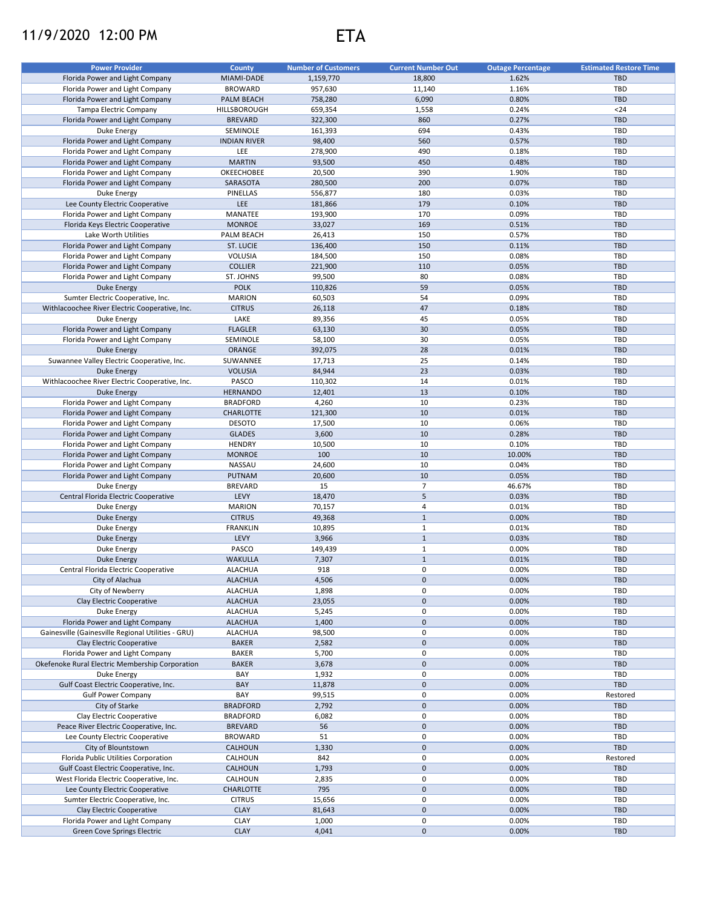## 11/9/2020 12:00 PM ETA



| <b>Power Provider</b>                              | <b>County</b>       | <b>Number of Customers</b> | <b>Current Number Out</b> | <b>Outage Percentage</b> | <b>Estimated Restore Time</b> |
|----------------------------------------------------|---------------------|----------------------------|---------------------------|--------------------------|-------------------------------|
| Florida Power and Light Company                    | MIAMI-DADE          | 1,159,770                  | 18,800                    | 1.62%                    | TBD                           |
| Florida Power and Light Company                    | <b>BROWARD</b>      | 957,630                    | 11,140                    | 1.16%                    | <b>TBD</b>                    |
| Florida Power and Light Company                    | <b>PALM BEACH</b>   | 758,280                    | 6,090                     | 0.80%                    | <b>TBD</b>                    |
| Tampa Electric Company                             | HILLSBOROUGH        | 659,354                    | 1,558                     | 0.24%                    | $24$                          |
| Florida Power and Light Company                    | <b>BREVARD</b>      | 322,300                    | 860                       | 0.27%                    | <b>TBD</b>                    |
| Duke Energy                                        | SEMINOLE            | 161,393                    | 694                       | 0.43%                    | <b>TBD</b>                    |
|                                                    |                     |                            |                           |                          |                               |
| Florida Power and Light Company                    | <b>INDIAN RIVER</b> | 98,400                     | 560                       | 0.57%                    | TBD                           |
| Florida Power and Light Company                    | LEE                 | 278,900                    | 490                       | 0.18%                    | TBD                           |
| Florida Power and Light Company                    | <b>MARTIN</b>       | 93,500                     | 450                       | 0.48%                    | <b>TBD</b>                    |
| Florida Power and Light Company                    | OKEECHOBEE          | 20,500                     | 390                       | 1.90%                    | TBD                           |
| Florida Power and Light Company                    | SARASOTA            | 280,500                    | 200                       | 0.07%                    | <b>TBD</b>                    |
| Duke Energy                                        | PINELLAS            | 556,877                    | 180                       | 0.03%                    | <b>TBD</b>                    |
| Lee County Electric Cooperative                    | LEE                 | 181,866                    | 179                       | 0.10%                    | <b>TBD</b>                    |
|                                                    |                     |                            |                           |                          |                               |
| Florida Power and Light Company                    | MANATEE             | 193,900                    | 170                       | 0.09%                    | <b>TBD</b>                    |
| Florida Keys Electric Cooperative                  | <b>MONROE</b>       | 33,027                     | 169                       | 0.51%                    | <b>TBD</b>                    |
| Lake Worth Utilities                               | PALM BEACH          | 26,413                     | 150                       | 0.57%                    | <b>TBD</b>                    |
| Florida Power and Light Company                    | <b>ST. LUCIE</b>    | 136,400                    | 150                       | 0.11%                    | <b>TBD</b>                    |
| Florida Power and Light Company                    | <b>VOLUSIA</b>      | 184,500                    | 150                       | 0.08%                    | <b>TBD</b>                    |
| Florida Power and Light Company                    | <b>COLLIER</b>      | 221,900                    | 110                       | 0.05%                    | <b>TBD</b>                    |
| Florida Power and Light Company                    | ST. JOHNS           | 99,500                     | 80                        | 0.08%                    | TBD                           |
|                                                    | <b>POLK</b>         |                            | 59                        |                          |                               |
| Duke Energy                                        |                     | 110,826                    |                           | 0.05%                    | <b>TBD</b>                    |
| Sumter Electric Cooperative, Inc.                  | <b>MARION</b>       | 60,503                     | 54                        | 0.09%                    | TBD                           |
| Withlacoochee River Electric Cooperative, Inc.     | <b>CITRUS</b>       | 26,118                     | 47                        | 0.18%                    | <b>TBD</b>                    |
| Duke Energy                                        | LAKE                | 89,356                     | 45                        | 0.05%                    | <b>TBD</b>                    |
| Florida Power and Light Company                    | <b>FLAGLER</b>      | 63,130                     | 30                        | 0.05%                    | <b>TBD</b>                    |
| Florida Power and Light Company                    | SEMINOLE            | 58,100                     | 30                        | 0.05%                    | TBD                           |
| Duke Energy                                        | ORANGE              | 392,075                    | 28                        | 0.01%                    | <b>TBD</b>                    |
|                                                    | SUWANNEE            |                            |                           | 0.14%                    | <b>TBD</b>                    |
| Suwannee Valley Electric Cooperative, Inc.         |                     | 17,713                     | 25                        |                          |                               |
| <b>Duke Energy</b>                                 | <b>VOLUSIA</b>      | 84,944                     | 23                        | 0.03%                    | <b>TBD</b>                    |
| Withlacoochee River Electric Cooperative, Inc.     | PASCO               | 110,302                    | 14                        | 0.01%                    | <b>TBD</b>                    |
| <b>Duke Energy</b>                                 | <b>HERNANDO</b>     | 12,401                     | 13                        | 0.10%                    | <b>TBD</b>                    |
| Florida Power and Light Company                    | <b>BRADFORD</b>     | 4,260                      | 10                        | 0.23%                    | <b>TBD</b>                    |
| Florida Power and Light Company                    | CHARLOTTE           | 121,300                    | 10                        | 0.01%                    | <b>TBD</b>                    |
| Florida Power and Light Company                    | <b>DESOTO</b>       | 17,500                     | 10                        | 0.06%                    | <b>TBD</b>                    |
|                                                    | <b>GLADES</b>       |                            | 10                        | 0.28%                    | <b>TBD</b>                    |
| Florida Power and Light Company                    |                     | 3,600                      |                           |                          |                               |
| Florida Power and Light Company                    | <b>HENDRY</b>       | 10,500                     | 10                        | 0.10%                    | TBD                           |
| Florida Power and Light Company                    | <b>MONROE</b>       | 100                        | 10                        | 10.00%                   | <b>TBD</b>                    |
| Florida Power and Light Company                    | NASSAU              | 24,600                     | 10                        | 0.04%                    | <b>TBD</b>                    |
| Florida Power and Light Company                    | PUTNAM              | 20,600                     | 10                        | 0.05%                    | <b>TBD</b>                    |
| Duke Energy                                        | <b>BREVARD</b>      | 15                         | $\overline{7}$            | 46.67%                   | <b>TBD</b>                    |
| Central Florida Electric Cooperative               | LEVY                | 18,470                     | 5                         | 0.03%                    | <b>TBD</b>                    |
|                                                    | <b>MARION</b>       | 70,157                     | $\sqrt{4}$                | 0.01%                    | <b>TBD</b>                    |
| Duke Energy                                        |                     |                            |                           |                          |                               |
| <b>Duke Energy</b>                                 | <b>CITRUS</b>       | 49,368                     | $\mathbf{1}$              | 0.00%                    | <b>TBD</b>                    |
| Duke Energy                                        | <b>FRANKLIN</b>     | 10,895                     | $\mathbf{1}$              | 0.01%                    | <b>TBD</b>                    |
| <b>Duke Energy</b>                                 | LEVY                | 3,966                      | $\mathbf{1}$              | 0.03%                    | <b>TBD</b>                    |
| Duke Energy                                        | PASCO               | 149,439                    | $\mathbf 1$               | 0.00%                    | TBD                           |
| <b>Duke Energy</b>                                 | <b>WAKULLA</b>      | 7,307                      | $\mathbf{1}$              | 0.01%                    | <b>TBD</b>                    |
| Central Florida Electric Cooperative               | <b>ALACHUA</b>      | 918                        | $\Omega$                  | 0.00%                    | TBD                           |
|                                                    |                     |                            | $\pmb{0}$                 |                          |                               |
| City of Alachua                                    | <b>ALACHUA</b>      | 4,506                      |                           | 0.00%                    | <b>TBD</b>                    |
| City of Newberry                                   | <b>ALACHUA</b>      | 1,898                      | 0                         | 0.00%                    | TBD                           |
| Clay Electric Cooperative                          | <b>ALACHUA</b>      | 23,055                     | $\pmb{0}$                 | 0.00%                    | <b>TBD</b>                    |
| Duke Energy                                        | <b>ALACHUA</b>      | 5,245                      | 0                         | 0.00%                    | TBD                           |
| Florida Power and Light Company                    | <b>ALACHUA</b>      | 1,400                      | $\pmb{0}$                 | 0.00%                    | <b>TBD</b>                    |
| Gainesville (Gainesville Regional Utilities - GRU) | <b>ALACHUA</b>      | 98,500                     | 0                         | 0.00%                    | <b>TBD</b>                    |
| Clay Electric Cooperative                          | <b>BAKER</b>        | 2,582                      | $\pmb{0}$                 | 0.00%                    | <b>TBD</b>                    |
| Florida Power and Light Company                    | <b>BAKER</b>        |                            | 0                         | 0.00%                    | <b>TBD</b>                    |
|                                                    |                     | 5,700                      |                           |                          |                               |
| Okefenoke Rural Electric Membership Corporation    | <b>BAKER</b>        | 3,678                      | $\pmb{0}$                 | 0.00%                    | <b>TBD</b>                    |
| Duke Energy                                        | BAY                 | 1,932                      | 0                         | 0.00%                    | TBD                           |
| Gulf Coast Electric Cooperative, Inc.              | BAY                 | 11,878                     | $\pmb{0}$                 | 0.00%                    | <b>TBD</b>                    |
| <b>Gulf Power Company</b>                          | BAY                 | 99,515                     | 0                         | 0.00%                    | Restored                      |
| City of Starke                                     | <b>BRADFORD</b>     | 2,792                      | $\mathsf{O}\xspace$       | 0.00%                    | TBD                           |
| Clay Electric Cooperative                          | <b>BRADFORD</b>     | 6,082                      | 0                         | 0.00%                    | <b>TBD</b>                    |
|                                                    |                     |                            | $\mathsf{O}\xspace$       |                          |                               |
| Peace River Electric Cooperative, Inc.             | <b>BREVARD</b>      | 56                         |                           | 0.00%                    | <b>TBD</b>                    |
| Lee County Electric Cooperative                    | <b>BROWARD</b>      | 51                         | 0                         | 0.00%                    | <b>TBD</b>                    |
| City of Blountstown                                | <b>CALHOUN</b>      | 1,330                      | $\mathsf{O}\xspace$       | 0.00%                    | <b>TBD</b>                    |
| Florida Public Utilities Corporation               | CALHOUN             | 842                        | 0                         | 0.00%                    | Restored                      |
| Gulf Coast Electric Cooperative, Inc.              | <b>CALHOUN</b>      | 1,793                      | $\mathsf{O}\xspace$       | 0.00%                    | <b>TBD</b>                    |
| West Florida Electric Cooperative, Inc.            | CALHOUN             | 2,835                      | 0                         | 0.00%                    | TBD                           |
| Lee County Electric Cooperative                    | CHARLOTTE           | 795                        | $\pmb{0}$                 | 0.00%                    | <b>TBD</b>                    |
|                                                    |                     |                            |                           |                          |                               |
| Sumter Electric Cooperative, Inc.                  | <b>CITRUS</b>       | 15,656                     | 0                         | 0.00%                    | TBD                           |
| Clay Electric Cooperative                          | <b>CLAY</b>         | 81,643                     | $\pmb{0}$                 | 0.00%                    | <b>TBD</b>                    |
| Florida Power and Light Company                    | <b>CLAY</b>         | 1,000                      | 0                         | 0.00%                    | <b>TBD</b>                    |
| Green Cove Springs Electric                        | <b>CLAY</b>         | 4,041                      | $\pmb{0}$                 | 0.00%                    | <b>TBD</b>                    |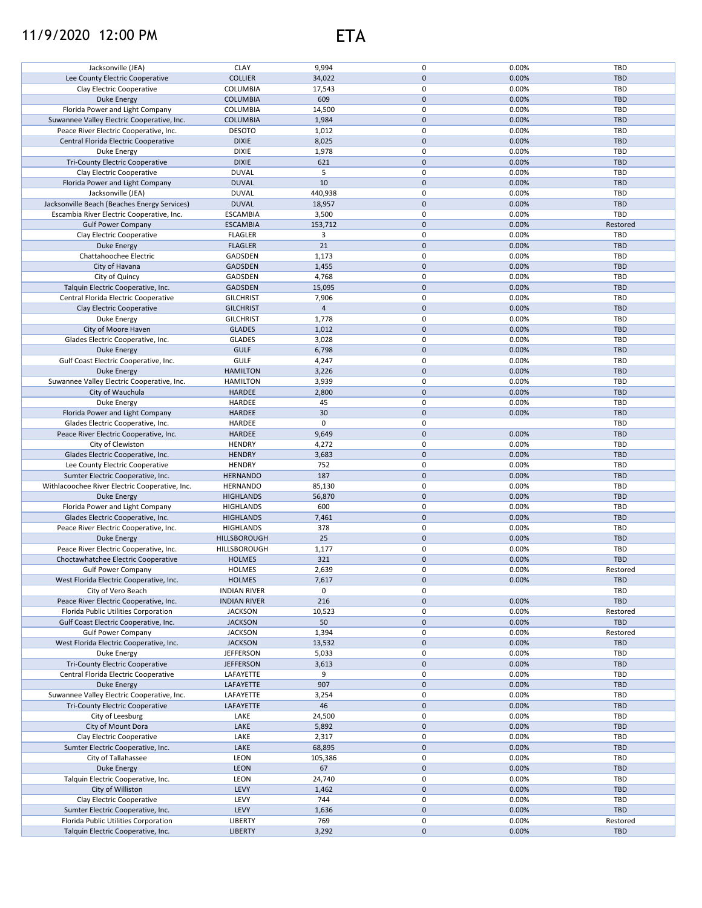## 11/9/2020 12:00 PM ETA

| Jacksonville (JEA)                             | <b>CLAY</b>         | 9,994      | 0                   | 0.00% | TBD        |
|------------------------------------------------|---------------------|------------|---------------------|-------|------------|
| Lee County Electric Cooperative                | <b>COLLIER</b>      | 34,022     | $\pmb{0}$           | 0.00% | <b>TBD</b> |
|                                                |                     |            |                     |       |            |
| Clay Electric Cooperative                      | COLUMBIA            | 17,543     | 0                   | 0.00% | TBD        |
| <b>Duke Energy</b>                             | <b>COLUMBIA</b>     | 609        | $\mathbf{0}$        | 0.00% | <b>TBD</b> |
| Florida Power and Light Company                | <b>COLUMBIA</b>     | 14,500     | 0                   | 0.00% | TBD        |
|                                                |                     |            |                     |       |            |
| Suwannee Valley Electric Cooperative, Inc.     | <b>COLUMBIA</b>     | 1,984      | $\mathbf 0$         | 0.00% | <b>TBD</b> |
| Peace River Electric Cooperative, Inc.         | <b>DESOTO</b>       | 1,012      | 0                   | 0.00% | <b>TBD</b> |
| Central Florida Electric Cooperative           | <b>DIXIE</b>        | 8,025      | $\mathbf 0$         | 0.00% | <b>TBD</b> |
|                                                |                     |            |                     |       |            |
| Duke Energy                                    | <b>DIXIE</b>        | 1,978      | 0                   | 0.00% | <b>TBD</b> |
| <b>Tri-County Electric Cooperative</b>         | <b>DIXIE</b>        | 621        | 0                   | 0.00% | <b>TBD</b> |
| Clay Electric Cooperative                      | <b>DUVAL</b>        | 5          | 0                   | 0.00% | <b>TBD</b> |
|                                                |                     |            |                     |       |            |
| Florida Power and Light Company                | <b>DUVAL</b>        | 10         | 0                   | 0.00% | <b>TBD</b> |
| Jacksonville (JEA)                             | <b>DUVAL</b>        | 440,938    | $\mathsf 0$         | 0.00% | TBD        |
| Jacksonville Beach (Beaches Energy Services)   | <b>DUVAL</b>        | 18,957     | 0                   | 0.00% | <b>TBD</b> |
|                                                |                     |            |                     |       |            |
| Escambia River Electric Cooperative, Inc.      | <b>ESCAMBIA</b>     | 3,500      | $\mathsf 0$         | 0.00% | <b>TBD</b> |
| <b>Gulf Power Company</b>                      | <b>ESCAMBIA</b>     | 153,712    | 0                   | 0.00% | Restored   |
| Clay Electric Cooperative                      | <b>FLAGLER</b>      | 3          | 0                   | 0.00% | <b>TBD</b> |
|                                                |                     |            |                     |       |            |
| Duke Energy                                    | <b>FLAGLER</b>      | 21         | 0                   | 0.00% | <b>TBD</b> |
| Chattahoochee Electric                         | GADSDEN             | 1,173      | 0                   | 0.00% | <b>TBD</b> |
|                                                |                     |            | $\mathbf 0$         | 0.00% |            |
| City of Havana                                 | GADSDEN             | 1,455      |                     |       | <b>TBD</b> |
| City of Quincy                                 | GADSDEN             | 4,768      | 0                   | 0.00% | <b>TBD</b> |
| Talquin Electric Cooperative, Inc.             | GADSDEN             | 15,095     | $\mathbf 0$         | 0.00% | <b>TBD</b> |
|                                                |                     |            |                     |       |            |
| Central Florida Electric Cooperative           | <b>GILCHRIST</b>    | 7,906      | 0                   | 0.00% | <b>TBD</b> |
| Clay Electric Cooperative                      | <b>GILCHRIST</b>    | $\sqrt{4}$ | $\mathbf 0$         | 0.00% | <b>TBD</b> |
| Duke Energy                                    | <b>GILCHRIST</b>    | 1,778      | 0                   | 0.00% | TBD        |
|                                                |                     |            |                     |       |            |
| City of Moore Haven                            | <b>GLADES</b>       | 1,012      | $\pmb{0}$           | 0.00% | <b>TBD</b> |
| Glades Electric Cooperative, Inc.              | <b>GLADES</b>       | 3,028      | 0                   | 0.00% | TBD        |
| <b>Duke Energy</b>                             | <b>GULF</b>         | 6,798      | $\mathsf{O}\xspace$ | 0.00% | <b>TBD</b> |
|                                                |                     |            |                     |       |            |
| Gulf Coast Electric Cooperative, Inc.          | <b>GULF</b>         | 4,247      | $\pmb{0}$           | 0.00% | TBD        |
| <b>Duke Energy</b>                             | <b>HAMILTON</b>     | 3,226      | $\mathsf{O}\xspace$ | 0.00% | <b>TBD</b> |
|                                                |                     |            | 0                   |       |            |
| Suwannee Valley Electric Cooperative, Inc.     | <b>HAMILTON</b>     | 3,939      |                     | 0.00% | TBD        |
| City of Wauchula                               | HARDEE              | 2,800      | 0                   | 0.00% | <b>TBD</b> |
| Duke Energy                                    | <b>HARDEE</b>       | 45         | 0                   | 0.00% | <b>TBD</b> |
|                                                |                     |            |                     |       |            |
| Florida Power and Light Company                | <b>HARDEE</b>       | 30         | 0                   | 0.00% | <b>TBD</b> |
| Glades Electric Cooperative, Inc.              | <b>HARDEE</b>       | 0          | 0                   |       | <b>TBD</b> |
| Peace River Electric Cooperative, Inc.         | <b>HARDEE</b>       | 9,649      | $\mathbf 0$         | 0.00% | <b>TBD</b> |
|                                                |                     |            |                     |       |            |
| City of Clewiston                              | <b>HENDRY</b>       | 4,272      | 0                   | 0.00% | TBD        |
| Glades Electric Cooperative, Inc.              | <b>HENDRY</b>       | 3,683      | 0                   | 0.00% | <b>TBD</b> |
| Lee County Electric Cooperative                | <b>HENDRY</b>       | 752        | 0                   | 0.00% | TBD        |
|                                                |                     |            |                     |       |            |
| Sumter Electric Cooperative, Inc.              | <b>HERNANDO</b>     | 187        | $\mathbf 0$         | 0.00% | <b>TBD</b> |
| Withlacoochee River Electric Cooperative, Inc. | <b>HERNANDO</b>     | 85,130     | 0                   | 0.00% | TBD        |
|                                                |                     |            | 0                   |       | <b>TBD</b> |
| Duke Energy                                    | <b>HIGHLANDS</b>    | 56,870     |                     | 0.00% |            |
| Florida Power and Light Company                | <b>HIGHLANDS</b>    | 600        | 0                   | 0.00% | TBD        |
| Glades Electric Cooperative, Inc.              | <b>HIGHLANDS</b>    | 7,461      | $\pmb{0}$           | 0.00% | <b>TBD</b> |
|                                                |                     |            |                     |       |            |
| Peace River Electric Cooperative, Inc.         | <b>HIGHLANDS</b>    | 378        | 0                   | 0.00% | TBD        |
| Duke Energy                                    | HILLSBOROUGH        | 25         | $\mathbf 0$         | 0.00% | <b>TBD</b> |
| Peace River Electric Cooperative, Inc.         | HILLSBOROUGH        | 1,177      | 0                   | 0.00% | <b>TBD</b> |
|                                                |                     |            |                     |       |            |
| Choctawhatchee Electric Cooperative            | <b>HOLMES</b>       | 321        | 0                   | 0.00% | <b>TBD</b> |
| <b>Gulf Power Company</b>                      | <b>HOLMES</b>       | 2,639      | 0                   | 0.00% | Restored   |
|                                                | <b>HOLMES</b>       | 7,617      | $\pmb{0}$           | 0.00% | <b>TBD</b> |
| West Florida Electric Cooperative, Inc.        |                     |            |                     |       |            |
| City of Vero Beach                             | <b>INDIAN RIVER</b> | 0          | 0                   |       | TBD        |
| Peace River Electric Cooperative, Inc.         | <b>INDIAN RIVER</b> | 216        | 0                   | 0.00% | TBD        |
| Florida Public Utilities Corporation           |                     |            | 0                   |       |            |
|                                                | <b>JACKSON</b>      | 10,523     |                     | 0.00% | Restored   |
| Gulf Coast Electric Cooperative, Inc.          | <b>JACKSON</b>      | 50         | $\mathbf 0$         | 0.00% | <b>TBD</b> |
| <b>Gulf Power Company</b>                      | <b>JACKSON</b>      | 1,394      | 0                   | 0.00% | Restored   |
|                                                |                     |            | $\mathbf 0$         |       |            |
| West Florida Electric Cooperative, Inc.        | <b>JACKSON</b>      | 13,532     |                     | 0.00% | TBD        |
| Duke Energy                                    | <b>JEFFERSON</b>    | 5,033      | 0                   | 0.00% | TBD        |
| <b>Tri-County Electric Cooperative</b>         | <b>JEFFERSON</b>    | 3,613      | 0                   | 0.00% | <b>TBD</b> |
|                                                |                     |            |                     |       |            |
| Central Florida Electric Cooperative           | LAFAYETTE           | 9          | 0                   | 0.00% | TBD        |
| Duke Energy                                    | LAFAYETTE           | 907        | 0                   | 0.00% | <b>TBD</b> |
| Suwannee Valley Electric Cooperative, Inc.     | LAFAYETTE           | 3,254      | 0                   | 0.00% | <b>TBD</b> |
|                                                |                     |            |                     |       |            |
| <b>Tri-County Electric Cooperative</b>         | LAFAYETTE           | 46         | 0                   | 0.00% | <b>TBD</b> |
| City of Leesburg                               | LAKE                | 24,500     | 0                   | 0.00% | TBD        |
| City of Mount Dora                             | LAKE                | 5,892      | 0                   | 0.00% | <b>TBD</b> |
|                                                |                     |            |                     |       |            |
| Clay Electric Cooperative                      | LAKE                | 2,317      | 0                   | 0.00% | TBD        |
| Sumter Electric Cooperative, Inc.              | LAKE                | 68,895     | 0                   | 0.00% | <b>TBD</b> |
|                                                | LEON                |            | 0                   | 0.00% | TBD        |
| City of Tallahassee                            |                     | 105,386    |                     |       |            |
| Duke Energy                                    | <b>LEON</b>         | 67         | 0                   | 0.00% | <b>TBD</b> |
| Talquin Electric Cooperative, Inc.             | LEON                | 24,740     | 0                   | 0.00% | TBD        |
|                                                |                     |            |                     |       |            |
| City of Williston                              | LEVY                | 1,462      | 0                   | 0.00% | <b>TBD</b> |
| Clay Electric Cooperative                      | LEVY                | 744        | 0                   | 0.00% | TBD        |
| Sumter Electric Cooperative, Inc.              | LEVY                | 1,636      | 0                   | 0.00% | <b>TBD</b> |
|                                                |                     |            |                     |       |            |
| Florida Public Utilities Corporation           | LIBERTY             | 769        | 0                   | 0.00% | Restored   |
| Talquin Electric Cooperative, Inc.             | <b>LIBERTY</b>      | 3,292      | 0                   | 0.00% | TBD        |
|                                                |                     |            |                     |       |            |